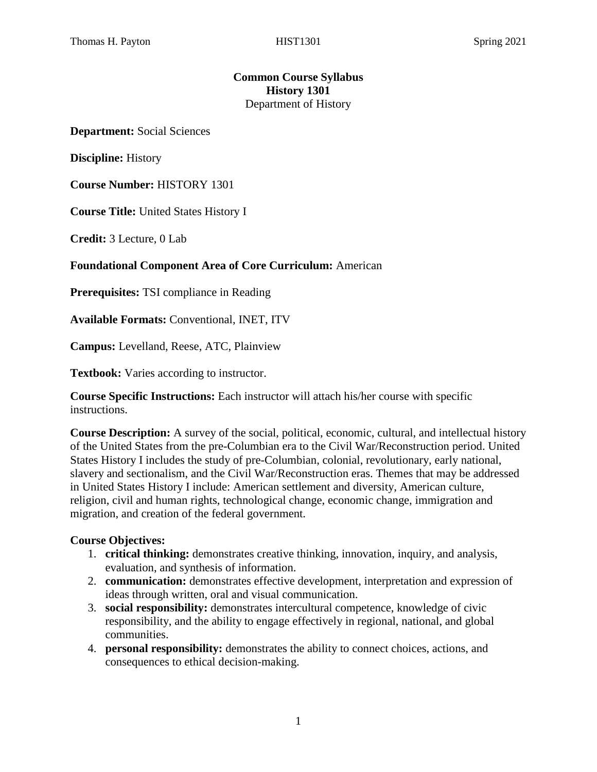### **Common Course Syllabus History 1301** Department of History

**Department:** Social Sciences

**Discipline:** History

**Course Number:** HISTORY 1301

**Course Title:** United States History I

**Credit:** 3 Lecture, 0 Lab

#### **Foundational Component Area of Core Curriculum:** American

**Prerequisites:** TSI compliance in Reading

**Available Formats:** Conventional, INET, ITV

**Campus:** Levelland, Reese, ATC, Plainview

**Textbook:** Varies according to instructor.

**Course Specific Instructions:** Each instructor will attach his/her course with specific instructions.

**Course Description:** A survey of the social, political, economic, cultural, and intellectual history of the United States from the pre-Columbian era to the Civil War/Reconstruction period. United States History I includes the study of pre-Columbian, colonial, revolutionary, early national, slavery and sectionalism, and the Civil War/Reconstruction eras. Themes that may be addressed in United States History I include: American settlement and diversity, American culture, religion, civil and human rights, technological change, economic change, immigration and migration, and creation of the federal government.

#### **Course Objectives:**

- 1. **critical thinking:** demonstrates creative thinking, innovation, inquiry, and analysis, evaluation, and synthesis of information.
- 2. **communication:** demonstrates effective development, interpretation and expression of ideas through written, oral and visual communication.
- 3. **social responsibility:** demonstrates intercultural competence, knowledge of civic responsibility, and the ability to engage effectively in regional, national, and global communities.
- 4. **personal responsibility:** demonstrates the ability to connect choices, actions, and consequences to ethical decision-making.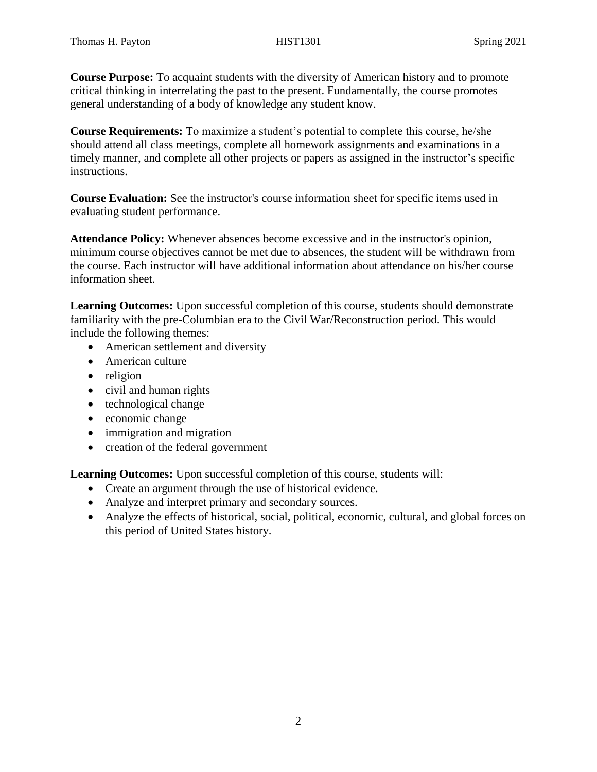**Course Purpose:** To acquaint students with the diversity of American history and to promote critical thinking in interrelating the past to the present. Fundamentally, the course promotes general understanding of a body of knowledge any student know.

**Course Requirements:** To maximize a student's potential to complete this course, he/she should attend all class meetings, complete all homework assignments and examinations in a timely manner, and complete all other projects or papers as assigned in the instructor's specific instructions.

**Course Evaluation:** See the instructor's course information sheet for specific items used in evaluating student performance.

**Attendance Policy:** Whenever absences become excessive and in the instructor's opinion, minimum course objectives cannot be met due to absences, the student will be withdrawn from the course. Each instructor will have additional information about attendance on his/her course information sheet.

**Learning Outcomes:** Upon successful completion of this course, students should demonstrate familiarity with the pre-Columbian era to the Civil War/Reconstruction period. This would include the following themes:

- American settlement and diversity
- American culture
- religion
- civil and human rights
- technological change
- economic change
- immigration and migration
- creation of the federal government

**Learning Outcomes:** Upon successful completion of this course, students will:

- Create an argument through the use of historical evidence.
- Analyze and interpret primary and secondary sources.
- Analyze the effects of historical, social, political, economic, cultural, and global forces on this period of United States history.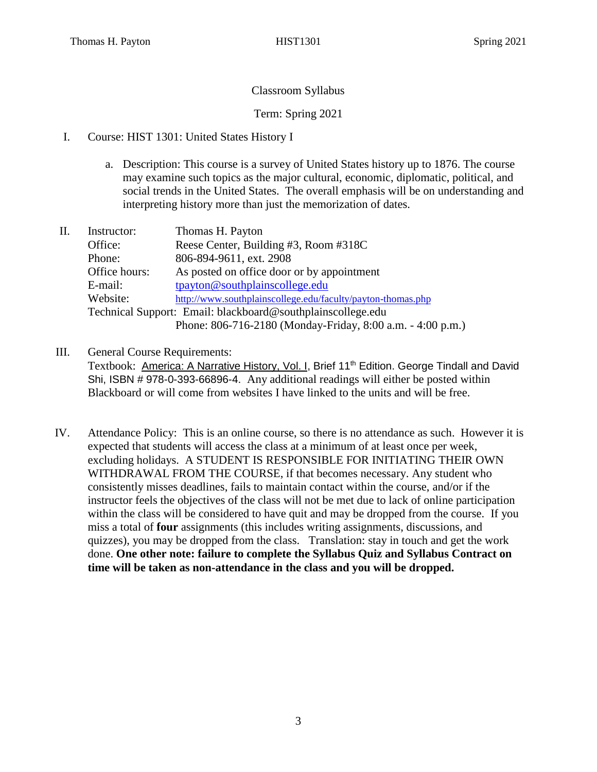# Classroom Syllabus

# Term: Spring 2021

- I. Course: HIST 1301: United States History I
	- a. Description: This course is a survey of United States history up to 1876. The course may examine such topics as the major cultural, economic, diplomatic, political, and social trends in the United States. The overall emphasis will be on understanding and interpreting history more than just the memorization of dates.
- II. Instructor: Thomas H. Payton Office: Reese Center, Building #3, Room #318C Phone: 806-894-9611, ext. 2908 Office hours: As posted on office door or by appointment E-mail: [tpayton@southplainscollege.edu](mailto:tpayton@southplainscollege.edu) Website: <http://www.southplainscollege.edu/faculty/payton-thomas.php> Technical Support: Email: blackboard@southplainscollege.edu Phone: 806-716-2180 (Monday-Friday, 8:00 a.m. - 4:00 p.m.)
- III. General Course Requirements:

Textbook: America: A Narrative History, Vol. I, Brief 11<sup>th</sup> Edition. George Tindall and David Shi, ISBN # 978-0-393-66896-4. Any additional readings will either be posted within Blackboard or will come from websites I have linked to the units and will be free.

IV. Attendance Policy: This is an online course, so there is no attendance as such. However it is expected that students will access the class at a minimum of at least once per week, excluding holidays. A STUDENT IS RESPONSIBLE FOR INITIATING THEIR OWN WITHDRAWAL FROM THE COURSE, if that becomes necessary. Any student who consistently misses deadlines, fails to maintain contact within the course, and/or if the instructor feels the objectives of the class will not be met due to lack of online participation within the class will be considered to have quit and may be dropped from the course. If you miss a total of **four** assignments (this includes writing assignments, discussions, and quizzes), you may be dropped from the class. Translation: stay in touch and get the work done. **One other note: failure to complete the Syllabus Quiz and Syllabus Contract on time will be taken as non-attendance in the class and you will be dropped.**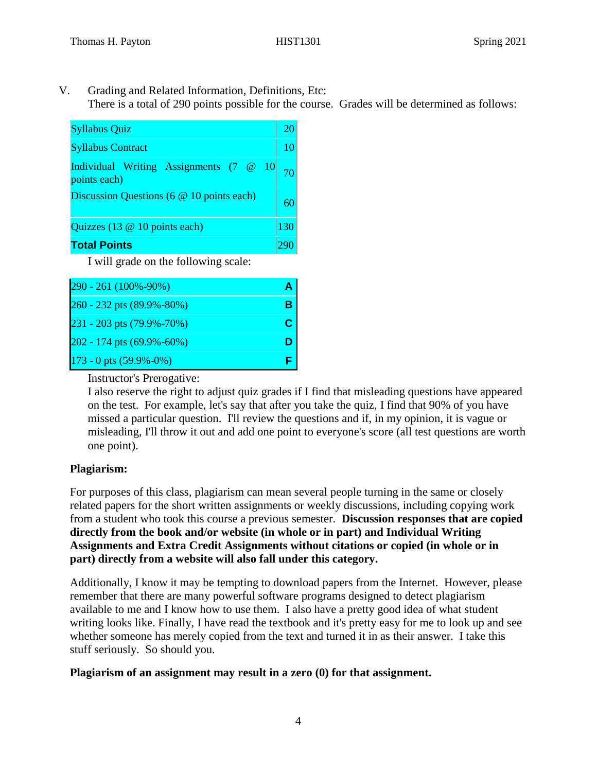V. Grading and Related Information, Definitions, Etc: There is a total of 290 points possible for the course. Grades will be determined as follows:

| <b>Syllabus Quiz</b>                                   |     |
|--------------------------------------------------------|-----|
| <b>Syllabus Contract</b>                               | 10  |
| Individual Writing Assignments (7 @ 10<br>points each) |     |
| Discussion Questions (6 @ 10 points each)              |     |
| Quizzes (13 @ 10 points each)                          | 130 |
| <b>Total Points</b>                                    |     |

I will grade on the following scale:

| 290 - 261 (100% - 90%)         |  |
|--------------------------------|--|
| 260 - 232 pts (89.9%-80%)      |  |
| 231 - 203 pts (79.9%-70%)      |  |
| 202 - 174 pts (69.9%-60%)      |  |
| $173 - 0$ pts $(59.9\% - 0\%)$ |  |

Instructor's Prerogative:

I also reserve the right to adjust quiz grades if I find that misleading questions have appeared on the test. For example, let's say that after you take the quiz, I find that 90% of you have missed a particular question. I'll review the questions and if, in my opinion, it is vague or misleading, I'll throw it out and add one point to everyone's score (all test questions are worth one point).

# **Plagiarism:**

For purposes of this class, plagiarism can mean several people turning in the same or closely related papers for the short written assignments or weekly discussions, including copying work from a student who took this course a previous semester. **Discussion responses that are copied directly from the book and/or website (in whole or in part) and Individual Writing Assignments and Extra Credit Assignments without citations or copied (in whole or in part) directly from a website will also fall under this category.** 

Additionally, I know it may be tempting to download papers from the Internet. However, please remember that there are many powerful software programs designed to detect plagiarism available to me and I know how to use them. I also have a pretty good idea of what student writing looks like. Finally, I have read the textbook and it's pretty easy for me to look up and see whether someone has merely copied from the text and turned it in as their answer. I take this stuff seriously. So should you.

### **Plagiarism of an assignment may result in a zero (0) for that assignment.**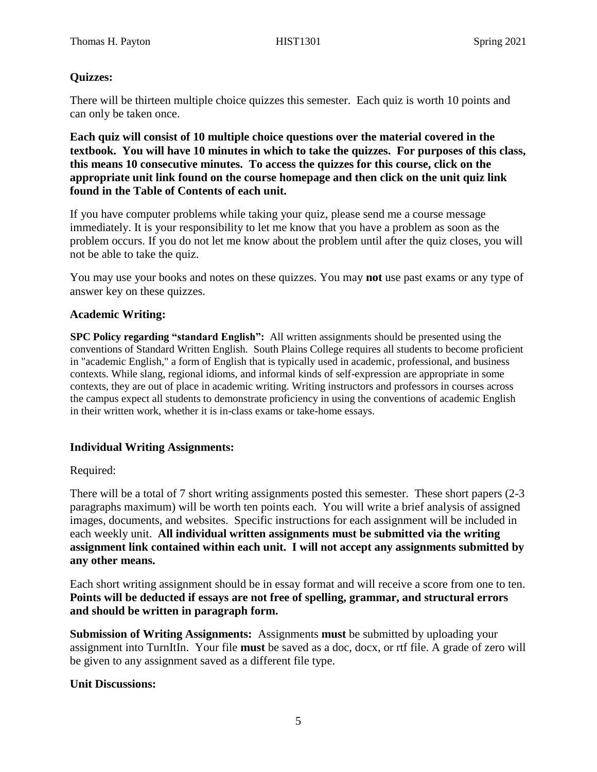# **Quizzes:**

There will be thirteen multiple choice quizzes this semester. Each quiz is worth 10 points and can only be taken once.

**Each quiz will consist of 10 multiple choice questions over the material covered in the textbook. You will have 10 minutes in which to take the quizzes. For purposes of this class, this means 10 consecutive minutes. To access the quizzes for this course, click on the appropriate unit link found on the course homepage and then click on the unit quiz link found in the Table of Contents of each unit.** 

If you have computer problems while taking your quiz, please send me a course message immediately. It is your responsibility to let me know that you have a problem as soon as the problem occurs. If you do not let me know about the problem until after the quiz closes, you will not be able to take the quiz.

You may use your books and notes on these quizzes. You may **not** use past exams or any type of answer key on these quizzes.

### **Academic Writing:**

**SPC Policy regarding "standard English":** All written assignments should be presented using the conventions of Standard Written English. South Plains College requires all students to become proficient in "academic English," a form of English that is typically used in academic, professional, and business contexts. While slang, regional idioms, and informal kinds of self-expression are appropriate in some contexts, they are out of place in academic writing. Writing instructors and professors in courses across the campus expect all students to demonstrate proficiency in using the conventions of academic English in their written work, whether it is in-class exams or take-home essays.

### **Individual Writing Assignments:**

### Required:

There will be a total of 7 short writing assignments posted this semester. These short papers (2-3 paragraphs maximum) will be worth ten points each. You will write a brief analysis of assigned images, documents, and websites. Specific instructions for each assignment will be included in each weekly unit. **All individual written assignments must be submitted via the writing assignment link contained within each unit. I will not accept any assignments submitted by any other means.**

Each short writing assignment should be in essay format and will receive a score from one to ten. **Points will be deducted if essays are not free of spelling, grammar, and structural errors and should be written in paragraph form.** 

**Submission of Writing Assignments:** Assignments **must** be submitted by uploading your assignment into TurnItIn. Your file **must** be saved as a doc, docx, or rtf file. A grade of zero will be given to any assignment saved as a different file type.

### **Unit Discussions:**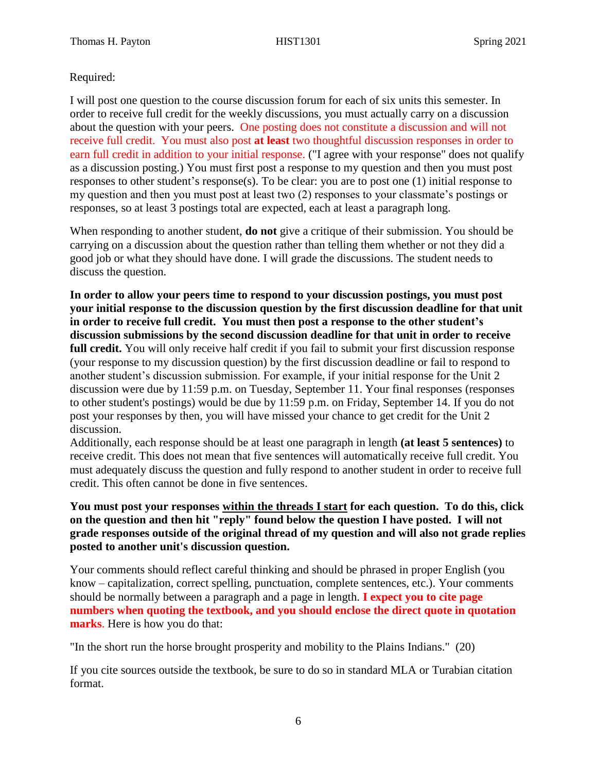### Required:

I will post one question to the course discussion forum for each of six units this semester. In order to receive full credit for the weekly discussions, you must actually carry on a discussion about the question with your peers. One posting does not constitute a discussion and will not receive full credit. You must also post **at least** two thoughtful discussion responses in order to earn full credit in addition to your initial response. ("I agree with your response" does not qualify as a discussion posting.) You must first post a response to my question and then you must post responses to other student's response(s). To be clear: you are to post one (1) initial response to my question and then you must post at least two (2) responses to your classmate's postings or responses, so at least 3 postings total are expected, each at least a paragraph long.

When responding to another student, **do not** give a critique of their submission. You should be carrying on a discussion about the question rather than telling them whether or not they did a good job or what they should have done. I will grade the discussions. The student needs to discuss the question.

**In order to allow your peers time to respond to your discussion postings, you must post your initial response to the discussion question by the first discussion deadline for that unit in order to receive full credit. You must then post a response to the other student's discussion submissions by the second discussion deadline for that unit in order to receive full credit.** You will only receive half credit if you fail to submit your first discussion response (your response to my discussion question) by the first discussion deadline or fail to respond to another student's discussion submission. For example, if your initial response for the Unit 2 discussion were due by 11:59 p.m. on Tuesday, September 11. Your final responses (responses to other student's postings) would be due by 11:59 p.m. on Friday, September 14. If you do not post your responses by then, you will have missed your chance to get credit for the Unit 2 discussion.

Additionally, each response should be at least one paragraph in length **(at least 5 sentences)** to receive credit. This does not mean that five sentences will automatically receive full credit. You must adequately discuss the question and fully respond to another student in order to receive full credit. This often cannot be done in five sentences.

**You must post your responses within the threads I start for each question. To do this, click on the question and then hit "reply" found below the question I have posted. I will not grade responses outside of the original thread of my question and will also not grade replies posted to another unit's discussion question.**

Your comments should reflect careful thinking and should be phrased in proper English (you know – capitalization, correct spelling, punctuation, complete sentences, etc.). Your comments should be normally between a paragraph and a page in length. **I expect you to cite page numbers when quoting the textbook, and you should enclose the direct quote in quotation marks**. Here is how you do that:

"In the short run the horse brought prosperity and mobility to the Plains Indians." (20)

If you cite sources outside the textbook, be sure to do so in standard MLA or Turabian citation format.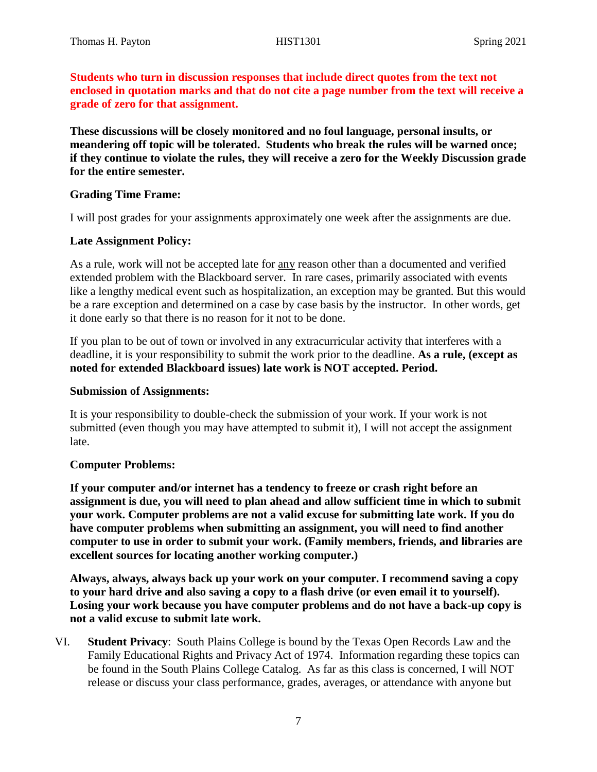**Students who turn in discussion responses that include direct quotes from the text not enclosed in quotation marks and that do not cite a page number from the text will receive a grade of zero for that assignment.**

**These discussions will be closely monitored and no foul language, personal insults, or meandering off topic will be tolerated. Students who break the rules will be warned once; if they continue to violate the rules, they will receive a zero for the Weekly Discussion grade for the entire semester.** 

#### **Grading Time Frame:**

I will post grades for your assignments approximately one week after the assignments are due.

#### **Late Assignment Policy:**

As a rule, work will not be accepted late for any reason other than a documented and verified extended problem with the Blackboard server. In rare cases, primarily associated with events like a lengthy medical event such as hospitalization, an exception may be granted. But this would be a rare exception and determined on a case by case basis by the instructor. In other words, get it done early so that there is no reason for it not to be done.

If you plan to be out of town or involved in any extracurricular activity that interferes with a deadline, it is your responsibility to submit the work prior to the deadline. **As a rule, (except as noted for extended Blackboard issues) late work is NOT accepted. Period.** 

#### **Submission of Assignments:**

It is your responsibility to double-check the submission of your work. If your work is not submitted (even though you may have attempted to submit it), I will not accept the assignment late.

#### **Computer Problems:**

**If your computer and/or internet has a tendency to freeze or crash right before an assignment is due, you will need to plan ahead and allow sufficient time in which to submit your work. Computer problems are not a valid excuse for submitting late work. If you do have computer problems when submitting an assignment, you will need to find another computer to use in order to submit your work. (Family members, friends, and libraries are excellent sources for locating another working computer.)**

**Always, always, always back up your work on your computer. I recommend saving a copy to your hard drive and also saving a copy to a flash drive (or even email it to yourself). Losing your work because you have computer problems and do not have a back-up copy is not a valid excuse to submit late work.**

VI. **Student Privacy**: South Plains College is bound by the Texas Open Records Law and the Family Educational Rights and Privacy Act of 1974. Information regarding these topics can be found in the South Plains College Catalog. As far as this class is concerned, I will NOT release or discuss your class performance, grades, averages, or attendance with anyone but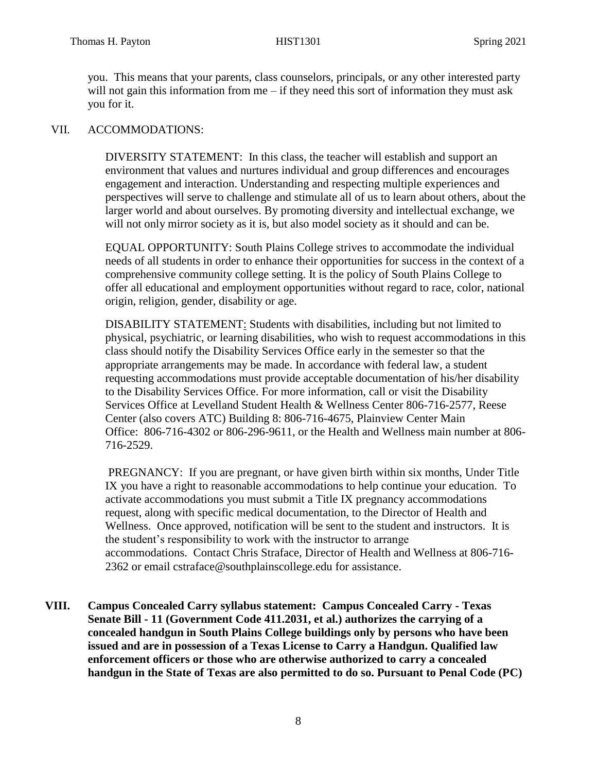you. This means that your parents, class counselors, principals, or any other interested party will not gain this information from me – if they need this sort of information they must ask you for it.

#### VII. ACCOMMODATIONS:

DIVERSITY STATEMENT: In this class, the teacher will establish and support an environment that values and nurtures individual and group differences and encourages engagement and interaction. Understanding and respecting multiple experiences and perspectives will serve to challenge and stimulate all of us to learn about others, about the larger world and about ourselves. By promoting diversity and intellectual exchange, we will not only mirror society as it is, but also model society as it should and can be.

EQUAL OPPORTUNITY: South Plains College strives to accommodate the individual needs of all students in order to enhance their opportunities for success in the context of a comprehensive community college setting. It is the policy of South Plains College to offer all educational and employment opportunities without regard to race, color, national origin, religion, gender, disability or age.

DISABILITY STATEMENT: Students with disabilities, including but not limited to physical, psychiatric, or learning disabilities, who wish to request accommodations in this class should notify the Disability Services Office early in the semester so that the appropriate arrangements may be made. In accordance with federal law, a student requesting accommodations must provide acceptable documentation of his/her disability to the Disability Services Office. For more information, call or visit the Disability Services Office at Levelland Student Health & Wellness Center 806-716-2577, Reese Center (also covers ATC) Building 8: 806-716-4675, Plainview Center Main Office: 806-716-4302 or 806-296-9611, or the Health and Wellness main number at 806- 716-2529.

PREGNANCY: If you are pregnant, or have given birth within six months, Under Title IX you have a right to reasonable accommodations to help continue your education. To activate accommodations you must submit a Title IX pregnancy accommodations request, along with specific medical documentation, to the Director of Health and Wellness. Once approved, notification will be sent to the student and instructors. It is the student's responsibility to work with the instructor to arrange accommodations. Contact Chris Straface, Director of Health and Wellness at 806-716- 2362 or email [cstraface@southplainscollege.edu](mailto:cstraface@southplainscollege.edu) for assistance.

**VIII. Campus Concealed Carry syllabus statement: Campus Concealed Carry - Texas Senate Bill - 11 (Government Code 411.2031, et al.) authorizes the carrying of a concealed handgun in South Plains College buildings only by persons who have been issued and are in possession of a Texas License to Carry a Handgun. Qualified law enforcement officers or those who are otherwise authorized to carry a concealed handgun in the State of Texas are also permitted to do so. Pursuant to Penal Code (PC)**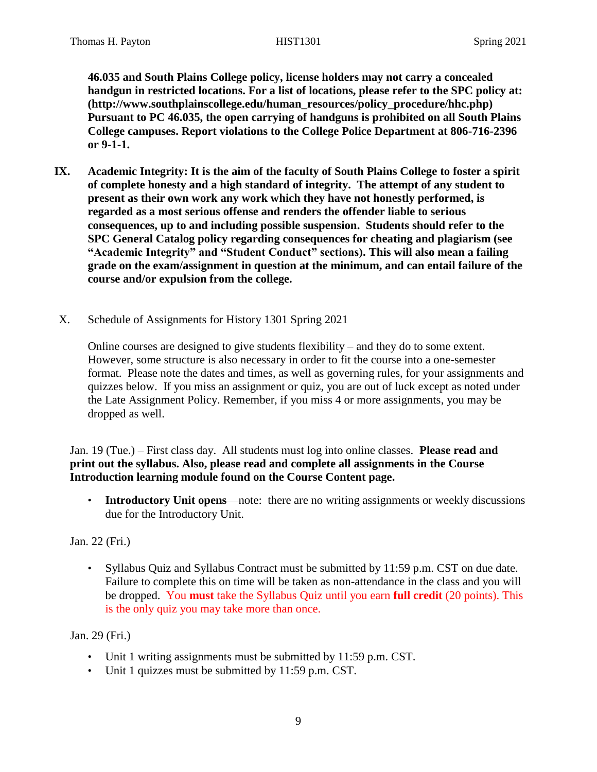**46.035 and South Plains College policy, license holders may not carry a concealed handgun in restricted locations. For a list of locations, please refer to the SPC policy at: (http://www.southplainscollege.edu/human\_resources/policy\_procedure/hhc.php) Pursuant to PC 46.035, the open carrying of handguns is prohibited on all South Plains College campuses. Report violations to the College Police Department at 806-716-2396 or 9-1-1.**

- **IX. Academic Integrity: It is the aim of the faculty of South Plains College to foster a spirit of complete honesty and a high standard of integrity. The attempt of any student to present as their own work any work which they have not honestly performed, is regarded as a most serious offense and renders the offender liable to serious consequences, up to and including possible suspension. Students should refer to the SPC General Catalog policy regarding consequences for cheating and plagiarism (see "Academic Integrity" and "Student Conduct" sections). This will also mean a failing grade on the exam/assignment in question at the minimum, and can entail failure of the course and/or expulsion from the college.**
- X. Schedule of Assignments for History 1301 Spring 2021

Online courses are designed to give students flexibility – and they do to some extent. However, some structure is also necessary in order to fit the course into a one-semester format. Please note the dates and times, as well as governing rules, for your assignments and quizzes below. If you miss an assignment or quiz, you are out of luck except as noted under the Late Assignment Policy. Remember, if you miss 4 or more assignments, you may be dropped as well.

Jan. 19 (Tue.) – First class day. All students must log into online classes. **Please read and print out the syllabus. Also, please read and complete all assignments in the Course Introduction learning module found on the Course Content page.**

• **Introductory Unit opens**—note: there are no writing assignments or weekly discussions due for the Introductory Unit.

Jan. 22 (Fri.)

• Syllabus Quiz and Syllabus Contract must be submitted by 11:59 p.m. CST on due date. Failure to complete this on time will be taken as non-attendance in the class and you will be dropped. You **must** take the Syllabus Quiz until you earn **full credit** (20 points). This is the only quiz you may take more than once.

Jan. 29 (Fri.)

- Unit 1 writing assignments must be submitted by 11:59 p.m. CST.
- Unit 1 quizzes must be submitted by 11:59 p.m. CST.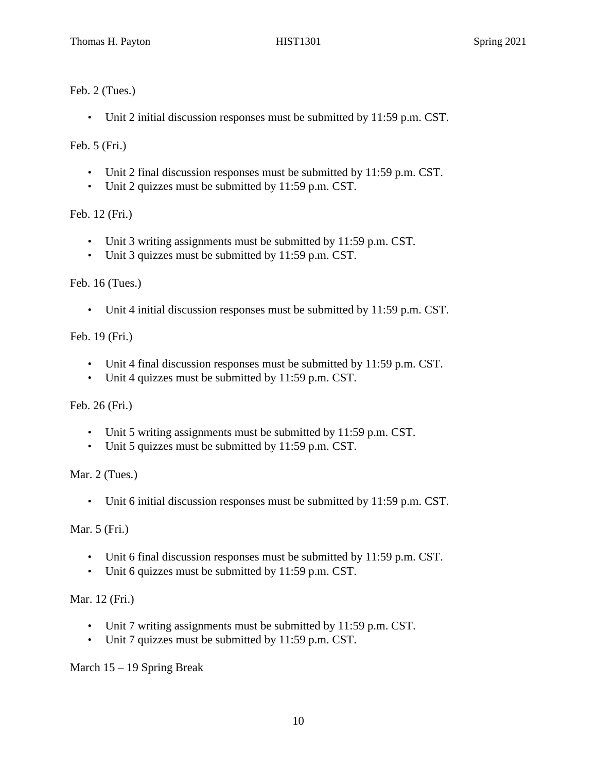Feb. 2 (Tues.)

• Unit 2 initial discussion responses must be submitted by 11:59 p.m. CST.

Feb. 5 (Fri.)

- Unit 2 final discussion responses must be submitted by 11:59 p.m. CST.
- Unit 2 quizzes must be submitted by 11:59 p.m. CST.

Feb. 12 (Fri.)

- Unit 3 writing assignments must be submitted by 11:59 p.m. CST.
- Unit 3 quizzes must be submitted by 11:59 p.m. CST.

Feb. 16 (Tues.)

• Unit 4 initial discussion responses must be submitted by 11:59 p.m. CST.

Feb. 19 (Fri.)

- Unit 4 final discussion responses must be submitted by 11:59 p.m. CST.
- Unit 4 quizzes must be submitted by 11:59 p.m. CST.

Feb. 26 (Fri.)

- Unit 5 writing assignments must be submitted by 11:59 p.m. CST.
- Unit 5 quizzes must be submitted by 11:59 p.m. CST.

Mar. 2 (Tues.)

• Unit 6 initial discussion responses must be submitted by 11:59 p.m. CST.

Mar. 5 (Fri.)

- Unit 6 final discussion responses must be submitted by 11:59 p.m. CST.
- Unit 6 quizzes must be submitted by 11:59 p.m. CST.

Mar. 12 (Fri.)

- Unit 7 writing assignments must be submitted by 11:59 p.m. CST.
- Unit 7 quizzes must be submitted by 11:59 p.m. CST.

March 15 – 19 Spring Break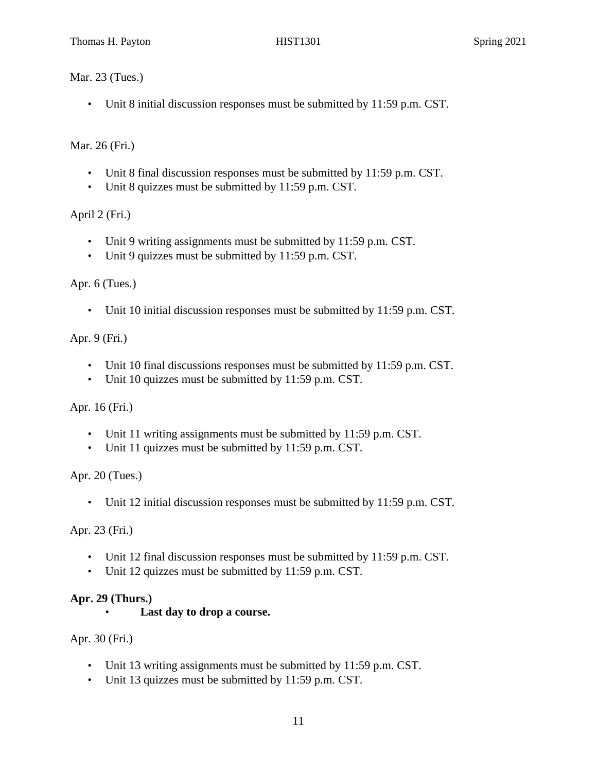Mar. 23 (Tues.)

• Unit 8 initial discussion responses must be submitted by 11:59 p.m. CST.

Mar. 26 (Fri.)

- Unit 8 final discussion responses must be submitted by 11:59 p.m. CST.
- Unit 8 quizzes must be submitted by 11:59 p.m. CST.

April 2 (Fri.)

- Unit 9 writing assignments must be submitted by 11:59 p.m. CST.
- Unit 9 quizzes must be submitted by 11:59 p.m. CST.

Apr. 6 (Tues.)

• Unit 10 initial discussion responses must be submitted by 11:59 p.m. CST.

Apr. 9 (Fri.)

- Unit 10 final discussions responses must be submitted by 11:59 p.m. CST.
- Unit 10 quizzes must be submitted by 11:59 p.m. CST.

Apr. 16 (Fri.)

- Unit 11 writing assignments must be submitted by 11:59 p.m. CST.
- Unit 11 quizzes must be submitted by 11:59 p.m. CST.

Apr. 20 (Tues.)

• Unit 12 initial discussion responses must be submitted by 11:59 p.m. CST.

Apr. 23 (Fri.)

- Unit 12 final discussion responses must be submitted by 11:59 p.m. CST.
- Unit 12 quizzes must be submitted by 11:59 p.m. CST.

### **Apr. 29 (Thurs.)**

Last day to drop a course.

Apr. 30 (Fri.)

- Unit 13 writing assignments must be submitted by 11:59 p.m. CST.
- Unit 13 quizzes must be submitted by 11:59 p.m. CST.